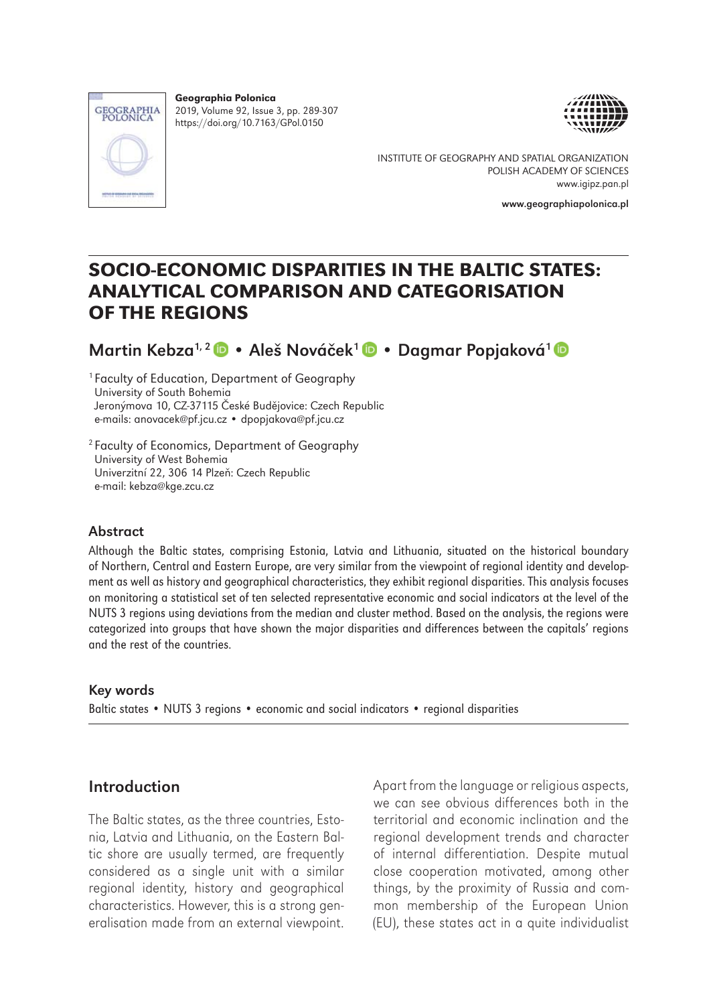

Geographia Polonica 2019, Volume 92, Issue 3, pp. 289-307 https://doi.org/10.7163/GPol.0150



INSTITUTE OF GEOGRAPHY AND SPATIAL ORGANIZATION POLISH ACADEMY OF SCIENCES www.igipz.pan.pl

www.geographiapolonica.pl

# SOCIO-ECONOMIC DISPARITIES IN THE BALTIC STATES: ANALYTICAL COMPARISON AND CATEGORISATION OF THE REGIONS

Martin Kebza1, 2• Aleš Nováček1 • Dagmar Popjaková1

1 Faculty of Education, Department of Geography University of South Bohemia Jeronýmova 10, CZ-37115 České Budějovice: Czech Republic e-mails: anovacek@pf.jcu.cz • dpopjakova@pf.jcu.cz

2 Faculty of Economics, Department of Geography University of West Bohemia Univerzitní 22, 306 14 Plzeň: Czech Republic e-mail: kebza@kge.zcu.cz

### Abstract

Although the Baltic states, comprising Estonia, Latvia and Lithuania, situated on the historical boundary of Northern, Central and Eastern Europe, are very similar from the viewpoint of regional identity and development as well as history and geographical characteristics, they exhibit regional disparities. This analysis focuses on monitoring a statistical set of ten selected representative economic and social indicators at the level of the NUTS 3 regions using deviations from the median and cluster method. Based on the analysis, the regions were categorized into groups that have shown the major disparities and differences between the capitals' regions and the rest of the countries.

#### Key words

Baltic states • NUTS 3 regions • economic and social indicators • regional disparities

### Introduction

The Baltic states, as the three countries, Estonia, Latvia and Lithuania, on the Eastern Baltic shore are usually termed, are frequently considered as a single unit with a similar regional identity, history and geographical characteristics. However, this is a strong generalisation made from an external viewpoint.

Apart from the language or religious aspects, we can see obvious differences both in the territorial and economic inclination and the regional development trends and character of internal differentiation. Despite mutual close cooperation motivated, among other things, by the proximity of Russia and common membership of the European Union (EU), these states act in a quite individualist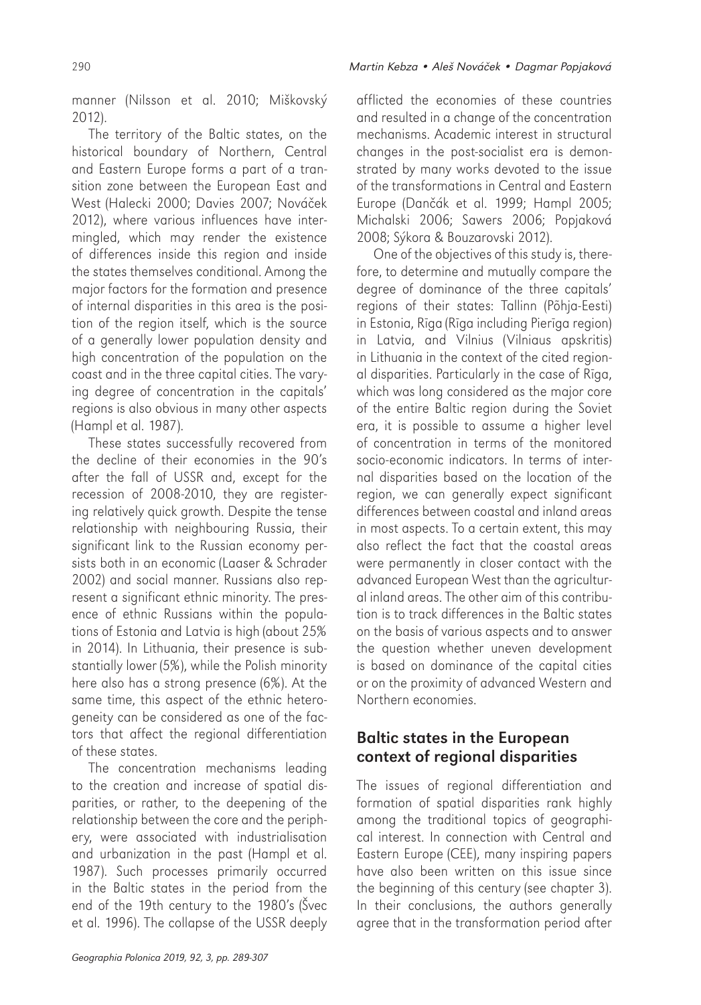manner (Nilsson et al. 2010; Miškovský 2012).

The territory of the Baltic states, on the historical boundary of Northern, Central and Eastern Europe forms a part of a transition zone between the European East and West (Halecki 2000; Davies 2007; Nováček 2012), where various influences have intermingled, which may render the existence of differences inside this region and inside the states themselves conditional. Among the major factors for the formation and presence of internal disparities in this area is the position of the region itself, which is the source of a generally lower population density and high concentration of the population on the coast and in the three capital cities. The varying degree of concentration in the capitals' regions is also obvious in many other aspects (Hampl et al. 1987).

These states successfully recovered from the decline of their economies in the 90's after the fall of USSR and, except for the recession of 2008-2010, they are registering relatively quick growth. Despite the tense relationship with neighbouring Russia, their significant link to the Russian economy persists both in an economic (Laaser & Schrader 2002) and social manner. Russians also represent a significant ethnic minority. The presence of ethnic Russians within the populations of Estonia and Latvia is high (about 25% in 2014). In Lithuania, their presence is substantially lower (5%), while the Polish minority here also has a strong presence (6%). At the same time, this aspect of the ethnic heterogeneity can be considered as one of the factors that affect the regional differentiation of these states.

The concentration mechanisms leading to the creation and increase of spatial disparities, or rather, to the deepening of the relationship between the core and the periphery, were associated with industrialisation and urbanization in the past (Hampl et al. 1987). Such processes primarily occurred in the Baltic states in the period from the end of the 19th century to the 1980's (Švec et al. 1996). The collapse of the USSR deeply afflicted the economies of these countries and resulted in a change of the concentration mechanisms. Academic interest in structural changes in the post-socialist era is demonstrated by many works devoted to the issue of the transformations in Central and Eastern Europe (Dančák et al. 1999; Hampl 2005; Michalski 2006; Sawers 2006; Popjaková 2008; Sýkora & Bouzarovski 2012).

One of the objectives of this study is, therefore, to determine and mutually compare the degree of dominance of the three capitals' regions of their states: Tallinn (Põhja-Eesti) in Estonia, Rīga (Rīga including Pierīga region) in Latvia, and Vilnius (Vilniaus apskritis) in Lithuania in the context of the cited regional disparities. Particularly in the case of Rīga, which was long considered as the major core of the entire Baltic region during the Soviet era, it is possible to assume a higher level of concentration in terms of the monitored socio-economic indicators. In terms of internal disparities based on the location of the region, we can generally expect significant differences between coastal and inland areas in most aspects. To a certain extent, this may also reflect the fact that the coastal areas were permanently in closer contact with the advanced European West than the agricultural inland areas. The other aim of this contribution is to track differences in the Baltic states on the basis of various aspects and to answer the question whether uneven development is based on dominance of the capital cities or on the proximity of advanced Western and Northern economies.

### Baltic states in the European context of regional disparities

The issues of regional differentiation and formation of spatial disparities rank highly among the traditional topics of geographical interest. In connection with Central and Eastern Europe (CEE), many inspiring papers have also been written on this issue since the beginning of this century (see chapter 3). In their conclusions, the authors generally agree that in the transformation period after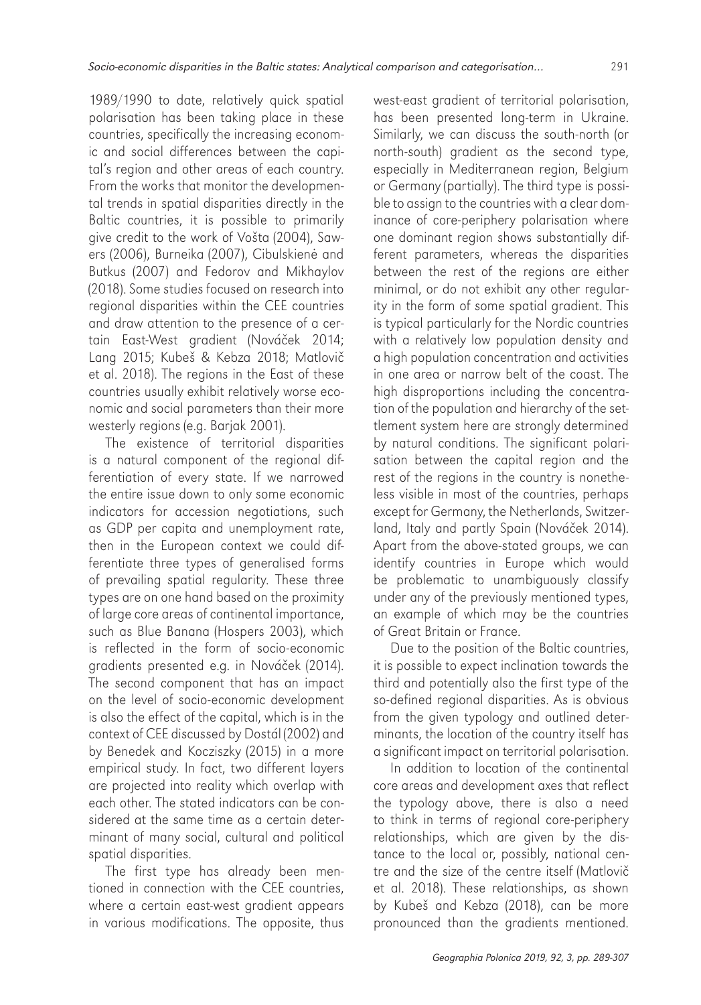1989/1990 to date, relatively quick spatial polarisation has been taking place in these countries, specifically the increasing economic and social differences between the capital's region and other areas of each country. From the works that monitor the developmental trends in spatial disparities directly in the Baltic countries, it is possible to primarily give credit to the work of Vošta (2004), Sawers (2006), Burneika (2007), Cibulskienė and Butkus (2007) and Fedorov and Mikhaylov (2018). Some studies focused on research into regional disparities within the CEE countries and draw attention to the presence of a certain East-West gradient (Nováček 2014; Lang 2015; Kubeš & Kebza 2018; Matlovič et al. 2018). The regions in the East of these countries usually exhibit relatively worse economic and social parameters than their more westerly regions (e.g. Barjak 2001).

The existence of territorial disparities is a natural component of the regional differentiation of every state. If we narrowed the entire issue down to only some economic indicators for accession negotiations, such as GDP per capita and unemployment rate, then in the European context we could differentiate three types of generalised forms of prevailing spatial regularity. These three types are on one hand based on the proximity of large core areas of continental importance, such as Blue Banana (Hospers 2003), which is reflected in the form of socio-economic gradients presented e.g. in Nováček (2014). The second component that has an impact on the level of socio-economic development is also the effect of the capital, which is in the context of CEE discussed by Dostál (2002) and by Benedek and Kocziszky (2015) in a more empirical study. In fact, two different layers are projected into reality which overlap with each other. The stated indicators can be considered at the same time as a certain determinant of many social, cultural and political spatial disparities.

The first type has already been mentioned in connection with the CEE countries, where a certain east-west gradient appears in various modifications. The opposite, thus

west-east gradient of territorial polarisation, has been presented long-term in Ukraine. Similarly, we can discuss the south-north (or north-south) gradient as the second type, especially in Mediterranean region, Belgium or Germany (partially). The third type is possible to assign to the countries with a clear dominance of core-periphery polarisation where one dominant region shows substantially different parameters, whereas the disparities between the rest of the regions are either minimal, or do not exhibit any other regularity in the form of some spatial gradient. This is typical particularly for the Nordic countries with a relatively low population density and a high population concentration and activities in one area or narrow belt of the coast. The high disproportions including the concentration of the population and hierarchy of the settlement system here are strongly determined by natural conditions. The significant polarisation between the capital region and the rest of the regions in the country is nonetheless visible in most of the countries, perhaps except for Germany, the Netherlands, Switzerland, Italy and partly Spain (Nováček 2014). Apart from the above-stated groups, we can identify countries in Europe which would be problematic to unambiguously classify under any of the previously mentioned types, an example of which may be the countries of Great Britain or France.

Due to the position of the Baltic countries, it is possible to expect inclination towards the third and potentially also the first type of the so-defined regional disparities. As is obvious from the given typology and outlined determinants, the location of the country itself has a significant impact on territorial polarisation.

In addition to location of the continental core areas and development axes that reflect the typology above, there is also a need to think in terms of regional core-periphery relationships, which are given by the distance to the local or, possibly, national centre and the size of the centre itself (Matlovič et al. 2018). These relationships, as shown by Kubeš and Kebza (2018), can be more pronounced than the gradients mentioned.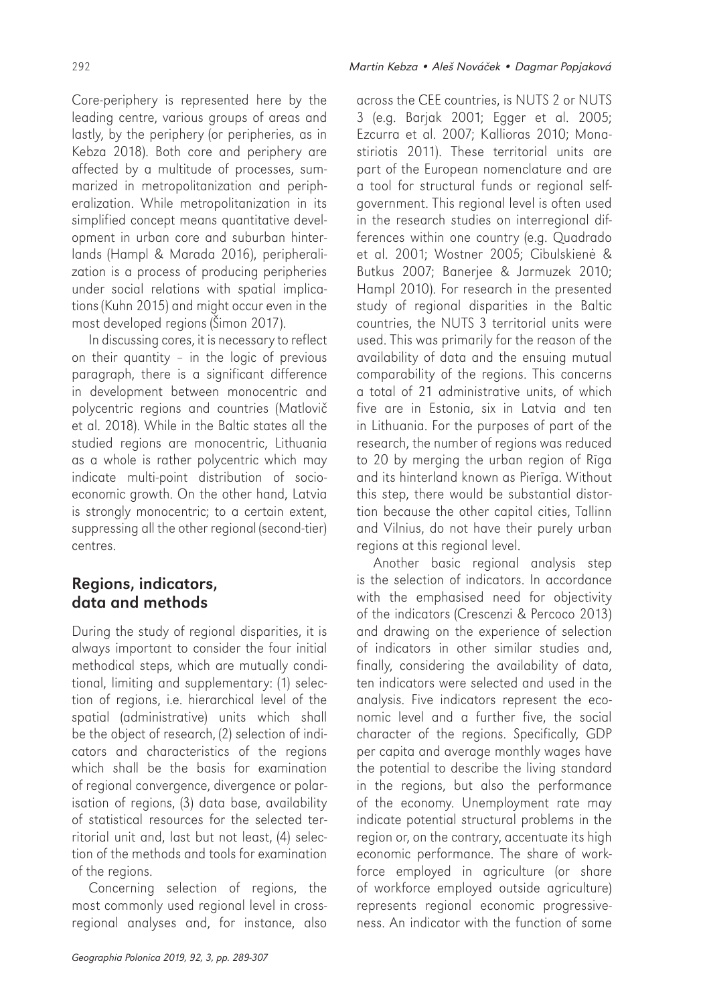Core-periphery is represented here by the leading centre, various groups of areas and lastly, by the periphery (or peripheries, as in Kebza 2018). Both core and periphery are affected by a multitude of processes, summarized in metropolitanization and peripheralization. While metropolitanization in its simplified concept means quantitative development in urban core and suburban hinterlands (Hampl & Marada 2016), peripheralization is a process of producing peripheries under social relations with spatial implications (Kuhn 2015) and might occur even in the most developed regions (Šimon 2017).

In discussing cores, it is necessary to reflect on their quantity – in the logic of previous paragraph, there is a significant difference in development between monocentric and polycentric regions and countries (Matlovič et al. 2018). While in the Baltic states all the studied regions are monocentric, Lithuania as a whole is rather polycentric which may indicate multi-point distribution of socioeconomic growth. On the other hand, Latvia is strongly monocentric; to a certain extent, suppressing all the other regional (second-tier) centres.

### Regions, indicators, data and methods

During the study of regional disparities, it is always important to consider the four initial methodical steps, which are mutually conditional, limiting and supplementary: (1) selection of regions, i.e. hierarchical level of the spatial (administrative) units which shall be the object of research, (2) selection of indicators and characteristics of the regions which shall be the basis for examination of regional convergence, divergence or polarisation of regions, (3) data base, availability of statistical resources for the selected territorial unit and, last but not least, (4) selection of the methods and tools for examination of the regions.

Concerning selection of regions, the most commonly used regional level in crossregional analyses and, for instance, also

across the CEE countries, is NUTS 2 or NUTS 3 (e.g. Barjak 2001; Egger et al. 2005; Ezcurra et al. 2007; Kallioras 2010; Monastiriotis 2011). These territorial units are part of the European nomenclature and are a tool for structural funds or regional selfgovernment. This regional level is often used in the research studies on interregional differences within one country (e.g. Quadrado et al. 2001; Wostner 2005; Cibulskienė & Butkus 2007; Banerjee & Jarmuzek 2010; Hampl 2010). For research in the presented study of regional disparities in the Baltic countries, the NUTS 3 territorial units were used. This was primarily for the reason of the availability of data and the ensuing mutual comparability of the regions. This concerns a total of 21 administrative units, of which five are in Estonia, six in Latvia and ten in Lithuania. For the purposes of part of the research, the number of regions was reduced to 20 by merging the urban region of Rīga and its hinterland known as Pierīga. Without this step, there would be substantial distortion because the other capital cities, Tallinn and Vilnius, do not have their purely urban regions at this regional level.

Another basic regional analysis step is the selection of indicators. In accordance with the emphasised need for objectivity of the indicators (Crescenzi & Percoco 2013) and drawing on the experience of selection of indicators in other similar studies and, finally, considering the availability of data, ten indicators were selected and used in the analysis. Five indicators represent the economic level and a further five, the social character of the regions. Specifically, GDP per capita and average monthly wages have the potential to describe the living standard in the regions, but also the performance of the economy. Unemployment rate may indicate potential structural problems in the region or, on the contrary, accentuate its high economic performance. The share of workforce employed in agriculture (or share of workforce employed outside agriculture) represents regional economic progressiveness. An indicator with the function of some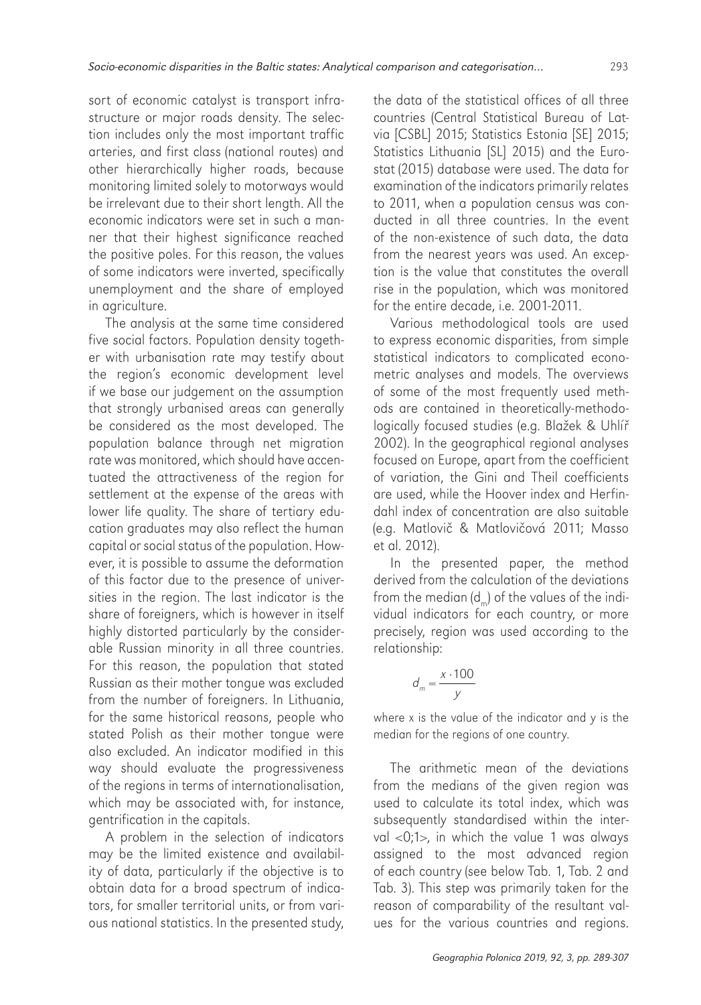sort of economic catalyst is transport infrastructure or major roads density. The selection includes only the most important traffic arteries, and first class (national routes) and other hierarchically higher roads, because monitoring limited solely to motorways would be irrelevant due to their short length. All the economic indicators were set in such a manner that their highest significance reached the positive poles. For this reason, the values of some indicators were inverted, specifically unemployment and the share of employed in agriculture.

The analysis at the same time considered five social factors. Population density together with urbanisation rate may testify about the region's economic development level if we base our judgement on the assumption that strongly urbanised areas can generally be considered as the most developed. The population balance through net migration rate was monitored, which should have accentuated the attractiveness of the region for settlement at the expense of the areas with lower life quality. The share of tertiary education graduates may also reflect the human capital or social status of the population. However, it is possible to assume the deformation of this factor due to the presence of universities in the region. The last indicator is the share of foreigners, which is however in itself highly distorted particularly by the considerable Russian minority in all three countries. For this reason, the population that stated Russian as their mother tongue was excluded from the number of foreigners. In Lithuania, for the same historical reasons, people who stated Polish as their mother tongue were also excluded. An indicator modified in this way should evaluate the progressiveness of the regions in terms of internationalisation, which may be associated with, for instance, gentrification in the capitals.

A problem in the selection of indicators may be the limited existence and availability of data, particularly if the objective is to obtain data for a broad spectrum of indicators, for smaller territorial units, or from various national statistics. In the presented study, the data of the statistical offices of all three countries (Central Statistical Bureau of Latvia [CSBL] 2015; Statistics Estonia [SE] 2015; Statistics Lithuania [SL] 2015) and the Eurostat (2015) database were used. The data for examination of the indicators primarily relates to 2011, when a population census was conducted in all three countries. In the event of the non-existence of such data, the data from the nearest years was used. An exception is the value that constitutes the overall rise in the population, which was monitored for the entire decade, i.e. 2001-2011.

Various methodological tools are used to express economic disparities, from simple statistical indicators to complicated econometric analyses and models. The overviews of some of the most frequently used methods are contained in theoretically-methodologically focused studies (e.g. Blažek & Uhlíř 2002). In the geographical regional analyses focused on Europe, apart from the coefficient of variation, the Gini and Theil coefficients are used, while the Hoover index and Herfindahl index of concentration are also suitable (e.g. Matlovič & Matlovičová 2011; Masso et al. 2012).

In the presented paper, the method derived from the calculation of the deviations from the median  $(d)$  of the values of the individual indicators for each country, or more precisely, region was used according to the relationship:

$$
d_m = \frac{x \cdot 100}{y}
$$

where x is the value of the indicator and y is the median for the regions of one country.

The arithmetic mean of the deviations from the medians of the given region was used to calculate its total index, which was subsequently standardised within the interval <0;1>, in which the value 1 was always assigned to the most advanced region of each country (see below Tab. 1, Tab. 2 and Tab. 3). This step was primarily taken for the reason of comparability of the resultant values for the various countries and regions.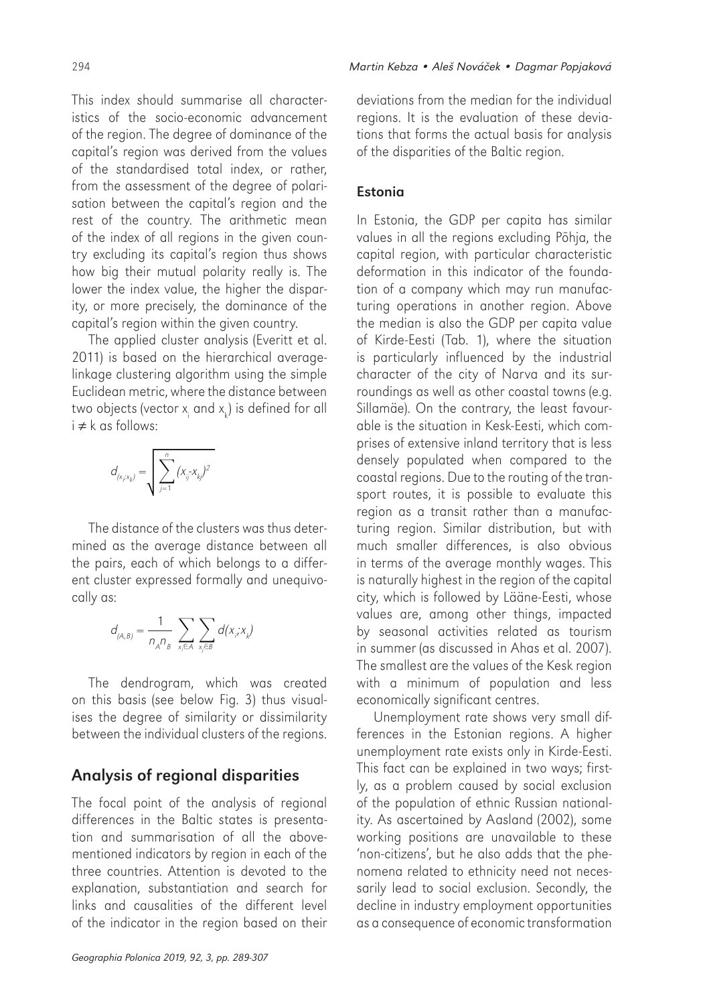This index should summarise all characteristics of the socio-economic advancement of the region. The degree of dominance of the capital's region was derived from the values of the standardised total index, or rather, from the assessment of the degree of polarisation between the capital's region and the rest of the country. The arithmetic mean of the index of all regions in the given country excluding its capital's region thus shows how big their mutual polarity really is. The lower the index value, the higher the disparity, or more precisely, the dominance of the capital's region within the given country.

The applied cluster analysis (Everitt et al. 2011) is based on the hierarchical averagelinkage clustering algorithm using the simple Euclidean metric, where the distance between two objects (vector  $\mathsf{x}_{\mathsf{i}}$  and  $\mathsf{x}_{\mathsf{k}}$ ) is defined for all i ≠ k as follows:

$$
d_{(x_i, x_k)} = \sqrt{\sum_{j=1}^n (x_{ij} - x_{kj})^2}
$$

The distance of the clusters was thus determined as the average distance between all the pairs, each of which belongs to a different cluster expressed formally and unequivocally as:

$$
d_{(A,B)} = \frac{1}{n_A n_B} \sum_{x_i \in A} \sum_{x_j \in B} d(x_i, x_k)
$$

The dendrogram, which was created on this basis (see below Fig. 3) thus visualises the degree of similarity or dissimilarity between the individual clusters of the regions.

### Analysis of regional disparities

The focal point of the analysis of regional differences in the Baltic states is presentation and summarisation of all the abovementioned indicators by region in each of the three countries. Attention is devoted to the explanation, substantiation and search for links and causalities of the different level of the indicator in the region based on their deviations from the median for the individual regions. It is the evaluation of these deviations that forms the actual basis for analysis of the disparities of the Baltic region.

#### Estonia

In Estonia, the GDP per capita has similar values in all the regions excluding Põhja, the capital region, with particular characteristic deformation in this indicator of the foundation of a company which may run manufacturing operations in another region. Above the median is also the GDP per capita value of Kirde-Eesti (Tab. 1), where the situation is particularly influenced by the industrial character of the city of Narva and its surroundings as well as other coastal towns (e.g. Sillamäe). On the contrary, the least favourable is the situation in Kesk-Eesti, which comprises of extensive inland territory that is less densely populated when compared to the coastal regions. Due to the routing of the transport routes, it is possible to evaluate this region as a transit rather than a manufacturing region. Similar distribution, but with much smaller differences, is also obvious in terms of the average monthly wages. This is naturally highest in the region of the capital city, which is followed by Lääne-Eesti, whose values are, among other things, impacted by seasonal activities related as tourism in summer (as discussed in Ahas et al. 2007). The smallest are the values of the Kesk region with a minimum of population and less economically significant centres.

Unemployment rate shows very small differences in the Estonian regions. A higher unemployment rate exists only in Kirde-Eesti. This fact can be explained in two ways; firstly, as a problem caused by social exclusion of the population of ethnic Russian nationality. As ascertained by Aasland (2002), some working positions are unavailable to these 'non-citizens', but he also adds that the phenomena related to ethnicity need not necessarily lead to social exclusion. Secondly, the decline in industry employment opportunities as a consequence of economic transformation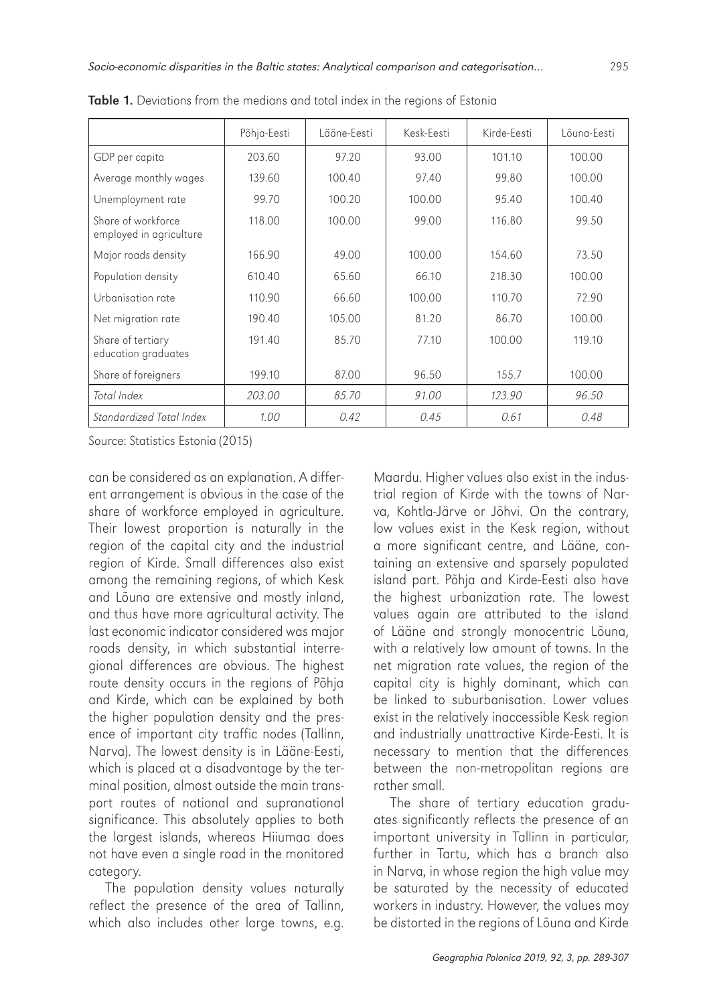|                                               | Põhja-Eesti | l ääne-Festi | Kesk-Festi | Kirde-Festi | Lõuna-Festi |  |
|-----------------------------------------------|-------------|--------------|------------|-------------|-------------|--|
| GDP per capita                                | 203.60      | 97.20        | 93.00      | 101.10      | 100.00      |  |
| Average monthly wages                         | 139.60      | 100.40       | 97.40      | 99.80       | 100.00      |  |
| Unemployment rate                             | 99.70       | 100.20       | 100.00     | 95.40       | 100.40      |  |
| Share of workforce<br>employed in agriculture | 118.00      | 100.00       | 99.00      | 116.80      | 99.50       |  |
| Major roads density                           | 166.90      | 49.00        | 100.00     | 154.60      | 73.50       |  |
| Population density                            | 610.40      | 65.60        | 66.10      | 218.30      | 100.00      |  |
| Urbanisation rate                             | 110.90      | 66.60        | 100.00     | 110.70      | 72.90       |  |
| Net migration rate                            | 190.40      | 105.00       | 81.20      | 86.70       | 100.00      |  |
| Share of tertiary<br>education graduates      | 191.40      | 85.70        | 77.10      | 100.00      | 119.10      |  |
| Share of foreigners                           | 199.10      | 87.00        | 96.50      | 155.7       | 100.00      |  |
| Total Index                                   | 203.00      | 85.70        | 91.00      | 123.90      | 96.50       |  |
| Standardized Total Index                      | 1.00        | 0.42         | 0.45       | 0.61        | 0.48        |  |

Table 1. Deviations from the medians and total index in the regions of Estonia

Source: Statistics Estonia (2015)

can be considered as an explanation. A different arrangement is obvious in the case of the share of workforce employed in agriculture. Their lowest proportion is naturally in the region of the capital city and the industrial region of Kirde. Small differences also exist among the remaining regions, of which Kesk and Lõuna are extensive and mostly inland, and thus have more agricultural activity. The last economic indicator considered was major roads density, in which substantial interregional differences are obvious. The highest route density occurs in the regions of Põhja and Kirde, which can be explained by both the higher population density and the presence of important city traffic nodes (Tallinn, Narva). The lowest density is in Lääne-Eesti, which is placed at a disadvantage by the terminal position, almost outside the main transport routes of national and supranational significance. This absolutely applies to both the largest islands, whereas Hiiumaa does not have even a single road in the monitored category.

The population density values naturally reflect the presence of the area of Tallinn, which also includes other large towns, e.g.

Maardu. Higher values also exist in the industrial region of Kirde with the towns of Narva, Kohtla-Järve or Jõhvi. On the contrary, low values exist in the Kesk region, without a more significant centre, and Lääne, containing an extensive and sparsely populated island part. Põhja and Kirde-Eesti also have the highest urbanization rate. The lowest values again are attributed to the island of Lääne and strongly monocentric Lõuna, with a relatively low amount of towns. In the net migration rate values, the region of the capital city is highly dominant, which can be linked to suburbanisation. Lower values exist in the relatively inaccessible Kesk region and industrially unattractive Kirde-Eesti. It is necessary to mention that the differences between the non-metropolitan regions are rather small.

The share of tertiary education graduates significantly reflects the presence of an important university in Tallinn in particular, further in Tartu, which has a branch also in Narva, in whose region the high value may be saturated by the necessity of educated workers in industry. However, the values may be distorted in the regions of Lõuna and Kirde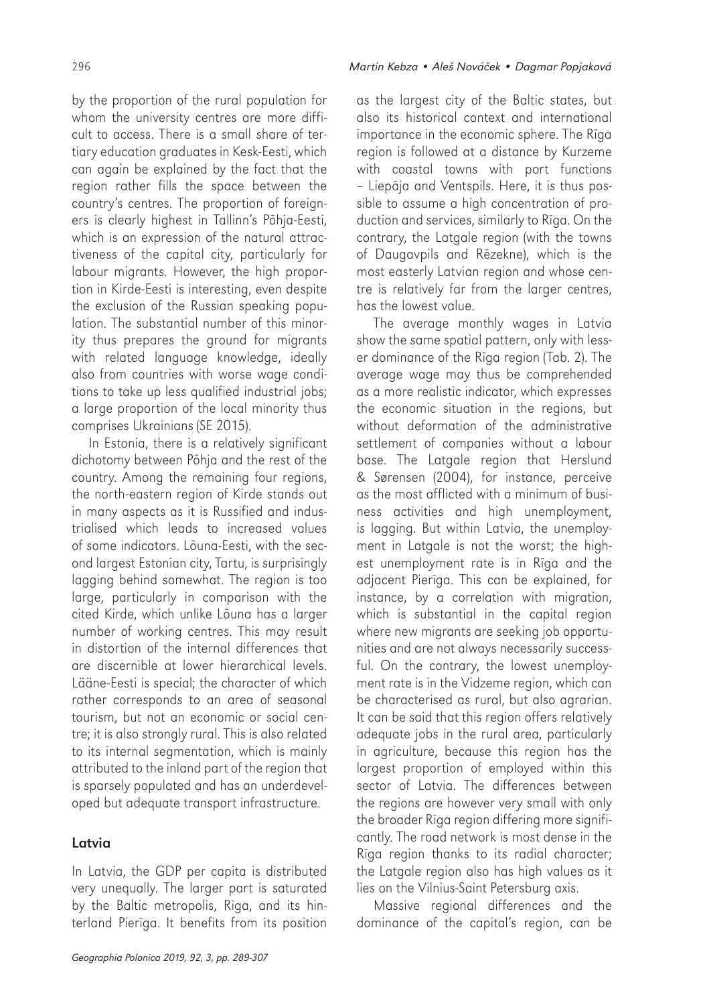by the proportion of the rural population for whom the university centres are more difficult to access. There is a small share of tertiary education graduates in Kesk-Eesti, which can again be explained by the fact that the region rather fills the space between the country's centres. The proportion of foreigners is clearly highest in Tallinn's Põhja-Eesti, which is an expression of the natural attractiveness of the capital city, particularly for labour migrants. However, the high proportion in Kirde-Eesti is interesting, even despite the exclusion of the Russian speaking population. The substantial number of this minority thus prepares the ground for migrants with related language knowledge, ideally also from countries with worse wage conditions to take up less qualified industrial jobs; a large proportion of the local minority thus

comprises Ukrainians (SE 2015). In Estonia, there is a relatively significant dichotomy between Põhja and the rest of the country. Among the remaining four regions, the north-eastern region of Kirde stands out in many aspects as it is Russified and industrialised which leads to increased values of some indicators. Lõuna-Eesti, with the second largest Estonian city, Tartu, is surprisingly lagging behind somewhat. The region is too large, particularly in comparison with the cited Kirde, which unlike Lõuna has a larger number of working centres. This may result in distortion of the internal differences that are discernible at lower hierarchical levels. Lääne-Eesti is special; the character of which rather corresponds to an area of seasonal tourism, but not an economic or social centre; it is also strongly rural. This is also related to its internal segmentation, which is mainly attributed to the inland part of the region that is sparsely populated and has an underdeveloped but adequate transport infrastructure.

#### Latvia

In Latvia, the GDP per capita is distributed very unequally. The larger part is saturated by the Baltic metropolis, Rīga, and its hinterland Pierīga. It benefits from its position

296 *Martin Kebza • Aleš Nová*č*ek • Dagmar Popjaková*

as the largest city of the Baltic states, but also its historical context and international importance in the economic sphere. The Rīga region is followed at a distance by Kurzeme with coastal towns with port functions – Liepāja and Ventspils. Here, it is thus possible to assume a high concentration of production and services, similarly to Rīga. On the contrary, the Latgale region (with the towns of Daugavpils and Rēzekne), which is the most easterly Latvian region and whose centre is relatively far from the larger centres, has the lowest value.

The average monthly wages in Latvia show the same spatial pattern, only with lesser dominance of the Rīga region (Tab. 2). The average wage may thus be comprehended as a more realistic indicator, which expresses the economic situation in the regions, but without deformation of the administrative settlement of companies without a labour base. The Latgale region that Herslund & Sørensen (2004), for instance, perceive as the most afflicted with a minimum of business activities and high unemployment, is lagging. But within Latvia, the unemployment in Latgale is not the worst; the highest unemployment rate is in Rīga and the adjacent Pierīga. This can be explained, for instance, by a correlation with migration, which is substantial in the capital region where new migrants are seeking job opportunities and are not always necessarily successful. On the contrary, the lowest unemployment rate is in the Vidzeme region, which can be characterised as rural, but also agrarian. It can be said that this region offers relatively adequate jobs in the rural area, particularly in agriculture, because this region has the largest proportion of employed within this sector of Latvia. The differences between the regions are however very small with only the broader Rīga region differing more significantly. The road network is most dense in the Rīga region thanks to its radial character; the Latgale region also has high values as it lies on the Vilnius-Saint Petersburg axis.

Massive regional differences and the dominance of the capital's region, can be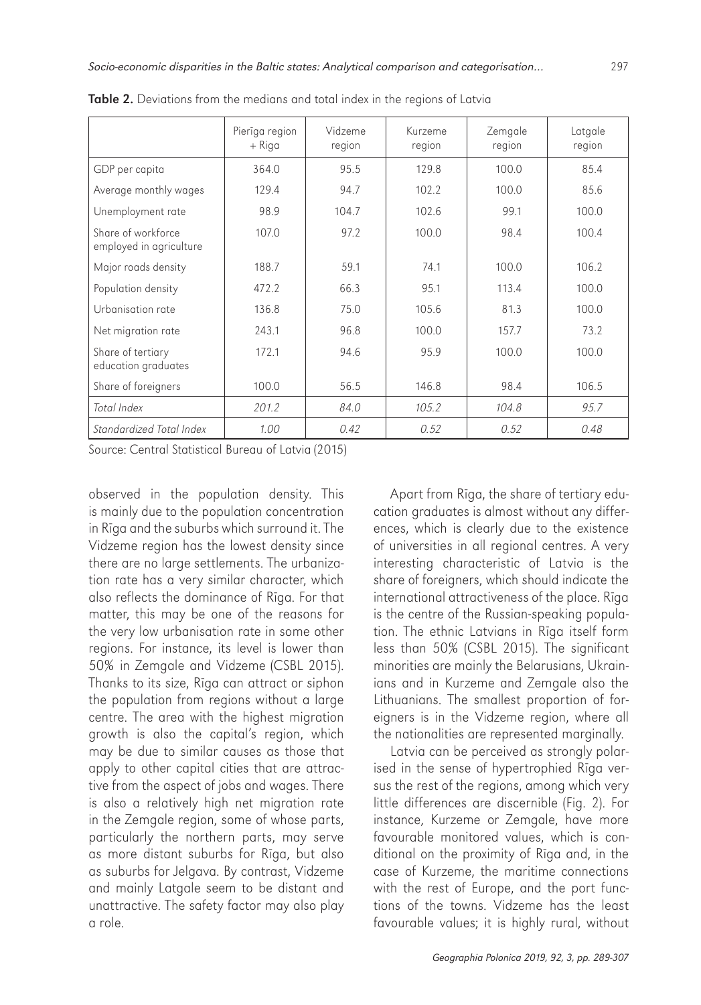|                                               | Pierīga region<br>$+$ Riga | Vidzeme<br>region | Kurzeme<br>region | Zemgale<br>region | Latgale<br>region |  |
|-----------------------------------------------|----------------------------|-------------------|-------------------|-------------------|-------------------|--|
| GDP per capita                                | 364.0                      | 95.5              | 129.8             | 100.0             | 85.4              |  |
| Average monthly wages                         | 129.4                      | 94.7              | 102.2             | 100.0             | 85.6              |  |
| Unemployment rate                             | 98.9                       | 104.7             | 102.6             | 99.1              | 100.0             |  |
| Share of workforce<br>employed in agriculture | 107.0                      | 97.2              | 100.0             | 98.4              | 100.4             |  |
| Major roads density                           | 188.7                      | 59.1              | 74.1              | 100.0             | 106.2             |  |
| Population density                            | 472.2                      | 66.3              | 95.1              | 113.4             | 100.0             |  |
| Urbanisation rate                             | 136.8                      | 75.0              | 105.6             | 81.3              | 100.0             |  |
| Net migration rate                            | 243.1                      | 96.8              | 100.0             | 157.7             | 73.2              |  |
| Share of tertiary<br>education graduates      | 172.1                      | 94.6              | 95.9              | 100.0             | 100.0             |  |
| Share of foreigners                           | 100.0                      | 56.5              | 146.8             | 98.4              | 106.5             |  |
| Total Index                                   | 201.2                      | 84.0              | 105.2             | 104.8             | 95.7              |  |
| Standardized Total Index                      | 1.00                       | 0.42              | 0.52              | 0.52              | 0.48              |  |

Table 2. Deviations from the medians and total index in the regions of Latvia

Source: Central Statistical Bureau of Latvia (2015)

observed in the population density. This is mainly due to the population concentration in Rīga and the suburbs which surround it. The Vidzeme region has the lowest density since there are no large settlements. The urbanization rate has a very similar character, which also reflects the dominance of Rīga. For that matter, this may be one of the reasons for the very low urbanisation rate in some other regions. For instance, its level is lower than 50% in Zemgale and Vidzeme (CSBL 2015). Thanks to its size, Rīga can attract or siphon the population from regions without a large centre. The area with the highest migration growth is also the capital's region, which may be due to similar causes as those that apply to other capital cities that are attractive from the aspect of jobs and wages. There is also a relatively high net migration rate in the Zemgale region, some of whose parts, particularly the northern parts, may serve as more distant suburbs for Rīga, but also as suburbs for Jelgava. By contrast, Vidzeme and mainly Latgale seem to be distant and unattractive. The safety factor may also play a role.

Apart from Rīga, the share of tertiary education graduates is almost without any differences, which is clearly due to the existence of universities in all regional centres. A very interesting characteristic of Latvia is the share of foreigners, which should indicate the international attractiveness of the place. Rīga is the centre of the Russian-speaking population. The ethnic Latvians in Rīga itself form less than 50% (CSBL 2015). The significant minorities are mainly the Belarusians, Ukrainians and in Kurzeme and Zemgale also the Lithuanians. The smallest proportion of foreigners is in the Vidzeme region, where all the nationalities are represented marginally.

Latvia can be perceived as strongly polarised in the sense of hypertrophied Rīga versus the rest of the regions, among which very little differences are discernible (Fig. 2). For instance, Kurzeme or Zemgale, have more favourable monitored values, which is conditional on the proximity of Rīga and, in the case of Kurzeme, the maritime connections with the rest of Europe, and the port functions of the towns. Vidzeme has the least favourable values; it is highly rural, without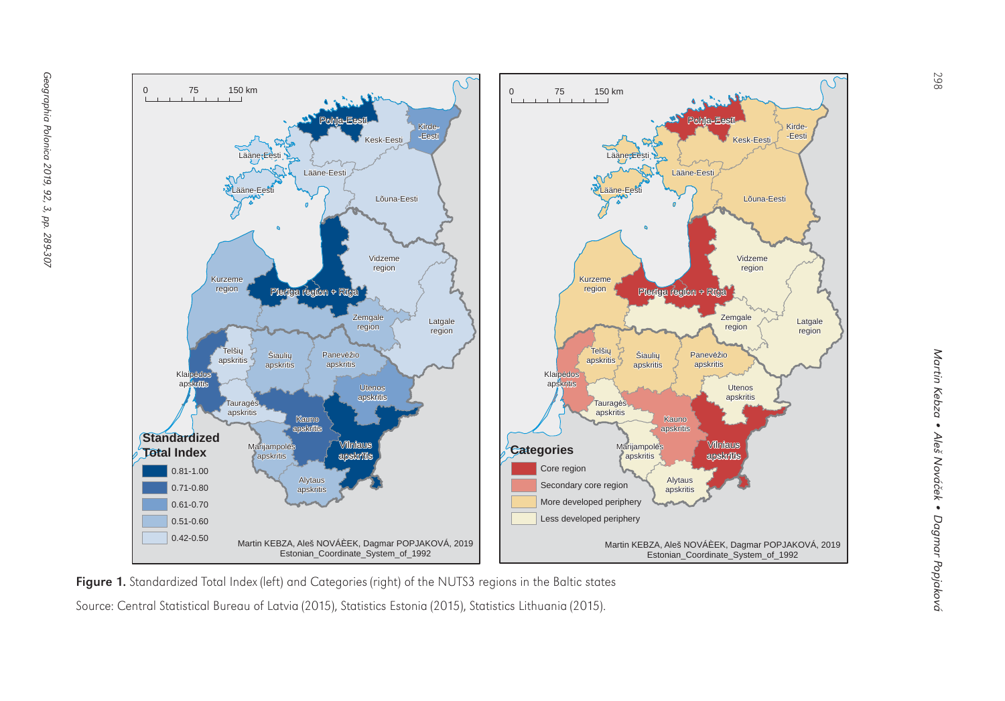

Figure 1. Standardized Total Index (left) and Categories (right) of the NUTS3 regions in the Baltic states

Source: Central Statistical Bureau of Latvia (2015), Statistics Estonia (2015), Statistics Lithuania (2015).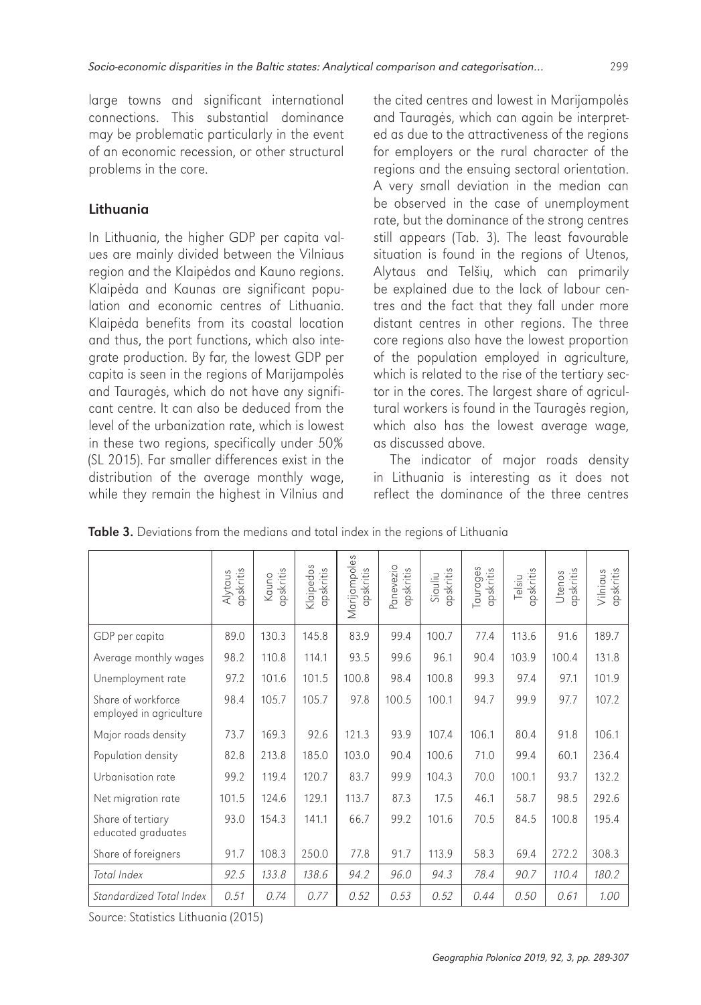large towns and significant international connections. This substantial dominance may be problematic particularly in the event of an economic recession, or other structural problems in the core.

### Lithuania

In Lithuania, the higher GDP per capita values are mainly divided between the Vilniaus region and the Klaipėdos and Kauno regions. Klaipėda and Kaunas are significant population and economic centres of Lithuania. Klaipėda benefits from its coastal location and thus, the port functions, which also integrate production. By far, the lowest GDP per capita is seen in the regions of Marijampolės and Tauragės, which do not have any significant centre. It can also be deduced from the level of the urbanization rate, which is lowest in these two regions, specifically under 50% (SL 2015). Far smaller differences exist in the distribution of the average monthly wage, while they remain the highest in Vilnius and

the cited centres and lowest in Marijampolės and Tauragės, which can again be interpreted as due to the attractiveness of the regions for employers or the rural character of the regions and the ensuing sectoral orientation. A very small deviation in the median can be observed in the case of unemployment rate, but the dominance of the strong centres still appears (Tab. 3). The least favourable situation is found in the regions of Utenos, Alytaus and Telšių, which can primarily be explained due to the lack of labour centres and the fact that they fall under more distant centres in other regions. The three core regions also have the lowest proportion of the population employed in agriculture, which is related to the rise of the tertiary sector in the cores. The largest share of agricultural workers is found in the Tauragės region, which also has the lowest average wage, as discussed above.

The indicator of major roads density in Lithuania is interesting as it does not reflect the dominance of the three centres

|                                               | apskritis<br>Alytaus | apskritis<br>Kauno | Klaipedos<br>apskritis | Marijampoles<br>apskritis | Panevezio<br>apskritis | apskritis<br>Siauliu | Taurages<br>apskritis | ipskritis<br>Telsiu | apskritis<br>Utenos | apskritis<br>Vilniaus |
|-----------------------------------------------|----------------------|--------------------|------------------------|---------------------------|------------------------|----------------------|-----------------------|---------------------|---------------------|-----------------------|
| GDP per capita                                | 89.0                 | 130.3              | 145.8                  | 83.9                      | 99.4                   | 100.7                | 77.4                  | 113.6               | 91.6                | 189.7                 |
| Average monthly wages                         | 98.2                 | 110.8              | 114.1                  | 93.5                      | 99.6                   | 96.1                 | 90.4                  | 103.9               | 100.4               | 131.8                 |
| Unemployment rate                             | 97.2                 | 101.6              | 101.5                  | 100.8                     | 98.4                   | 100.8                | 99.3                  | 97.4                | 97.1                | 101.9                 |
| Share of workforce<br>employed in agriculture | 98.4                 | 105.7              | 105.7                  | 97.8                      | 100.5                  | 100.1                | 94.7                  | 99.9                | 97.7                | 107.2                 |
| Major roads density                           | 73.7                 | 169.3              | 92.6                   | 121.3                     | 93.9                   | 107.4                | 106.1                 | 80.4                | 91.8                | 106.1                 |
| Population density                            | 82.8                 | 213.8              | 185.0                  | 103.0                     | 90.4                   | 100.6                | 71.0                  | 99.4                | 60.1                | 236.4                 |
| Urbanisation rate                             | 99.2                 | 119.4              | 120.7                  | 83.7                      | 99.9                   | 104.3                | 70.0                  | 100.1               | 93.7                | 132.2                 |
| Net migration rate                            | 101.5                | 124.6              | 129.1                  | 113.7                     | 87.3                   | 17.5                 | 46.1                  | 58.7                | 98.5                | 292.6                 |
| Share of tertiary<br>educated graduates       | 93.0                 | 154.3              | 141.1                  | 66.7                      | 99.2                   | 101.6                | 70.5                  | 84.5                | 100.8               | 195.4                 |
| Share of foreigners                           | 91.7                 | 108.3              | 250.0                  | 77.8                      | 91.7                   | 113.9                | 58.3                  | 69.4                | 272.2               | 308.3                 |
| Total Index                                   | 92.5                 | 133.8              | 138.6                  | 94.2                      | 96.0                   | 94.3                 | 78.4                  | 90.7                | 110.4               | 180.2                 |
| Standardized Total Index                      | 0.51                 | 0.74               | 0.77                   | 0.52                      | 0.53                   | 0.52                 | 0.44                  | 0.50                | 0.61                | 1.00                  |

Table 3. Deviations from the medians and total index in the regions of Lithuania

Source: Statistics Lithuania (2015)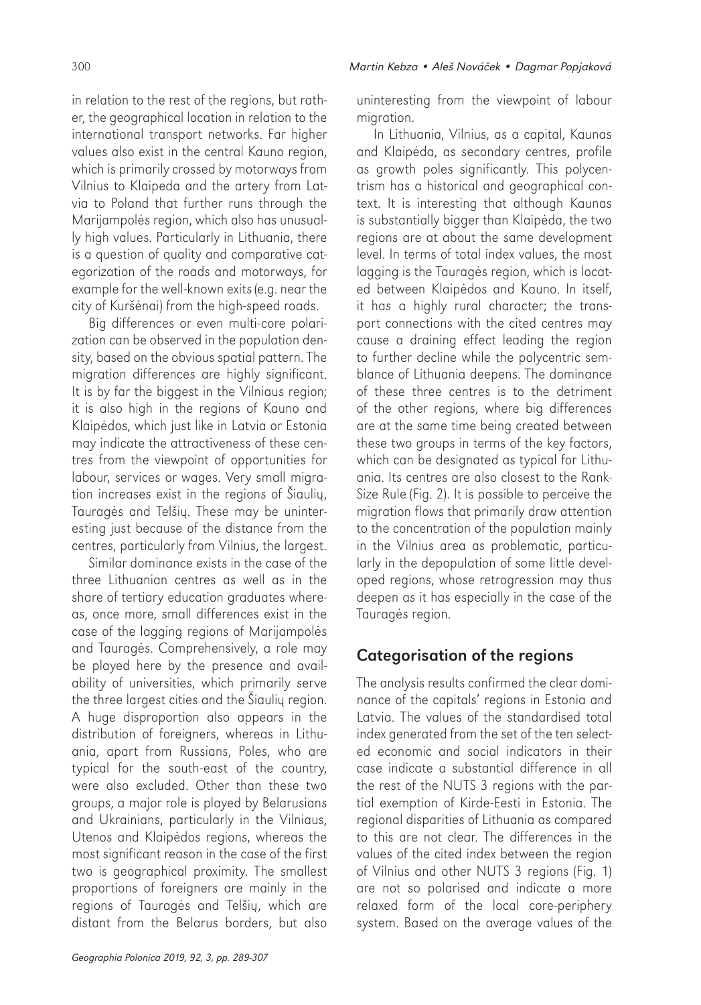300 *Martin Kebza • Aleš Nová*č*ek • Dagmar Popjaková*

in relation to the rest of the regions, but rather, the geographical location in relation to the international transport networks. Far higher values also exist in the central Kauno region, which is primarily crossed by motorways from Vilnius to Klaipeda and the artery from Latvia to Poland that further runs through the Marijampolės region, which also has unusually high values. Particularly in Lithuania, there is a question of quality and comparative categorization of the roads and motorways, for example for the well-known exits (e.g. near the city of Kuršėnai) from the high-speed roads.

Big differences or even multi-core polarization can be observed in the population density, based on the obvious spatial pattern. The migration differences are highly significant. It is by far the biggest in the Vilniaus region; it is also high in the regions of Kauno and Klaipėdos, which just like in Latvia or Estonia may indicate the attractiveness of these centres from the viewpoint of opportunities for labour, services or wages. Very small migration increases exist in the regions of Šiaulių, Tauragės and Telšių. These may be uninteresting just because of the distance from the centres, particularly from Vilnius, the largest.

Similar dominance exists in the case of the three Lithuanian centres as well as in the share of tertiary education graduates whereas, once more, small differences exist in the case of the lagging regions of Marijampolės and Tauragės. Comprehensively, a role may be played here by the presence and availability of universities, which primarily serve the three largest cities and the Šiaulių region. A huge disproportion also appears in the distribution of foreigners, whereas in Lithuania, apart from Russians, Poles, who are typical for the south-east of the country, were also excluded. Other than these two groups, a major role is played by Belarusians and Ukrainians, particularly in the Vilniaus, Utenos and Klaipėdos regions, whereas the most significant reason in the case of the first two is geographical proximity. The smallest proportions of foreigners are mainly in the regions of Tauragės and Telšių, which are distant from the Belarus borders, but also

uninteresting from the viewpoint of labour migration.

In Lithuania, Vilnius, as a capital, Kaunas and Klaipėda, as secondary centres, profile as growth poles significantly. This polycentrism has a historical and geographical context. It is interesting that although Kaunas is substantially bigger than Klaipėda, the two regions are at about the same development level. In terms of total index values, the most lagging is the Tauragės region, which is located between Klaipėdos and Kauno. In itself, it has a highly rural character; the transport connections with the cited centres may cause a draining effect leading the region to further decline while the polycentric semblance of Lithuania deepens. The dominance of these three centres is to the detriment of the other regions, where big differences are at the same time being created between these two groups in terms of the key factors, which can be designated as typical for Lithuania. Its centres are also closest to the Rank-Size Rule (Fig. 2). It is possible to perceive the migration flows that primarily draw attention to the concentration of the population mainly in the Vilnius area as problematic, particularly in the depopulation of some little developed regions, whose retrogression may thus deepen as it has especially in the case of the Tauragės region.

### Categorisation of the regions

The analysis results confirmed the clear dominance of the capitals' regions in Estonia and Latvia. The values of the standardised total index generated from the set of the ten selected economic and social indicators in their case indicate a substantial difference in all the rest of the NUTS 3 regions with the partial exemption of Kirde-Eesti in Estonia. The regional disparities of Lithuania as compared to this are not clear. The differences in the values of the cited index between the region of Vilnius and other NUTS 3 regions (Fig. 1) are not so polarised and indicate a more relaxed form of the local core-periphery system. Based on the average values of the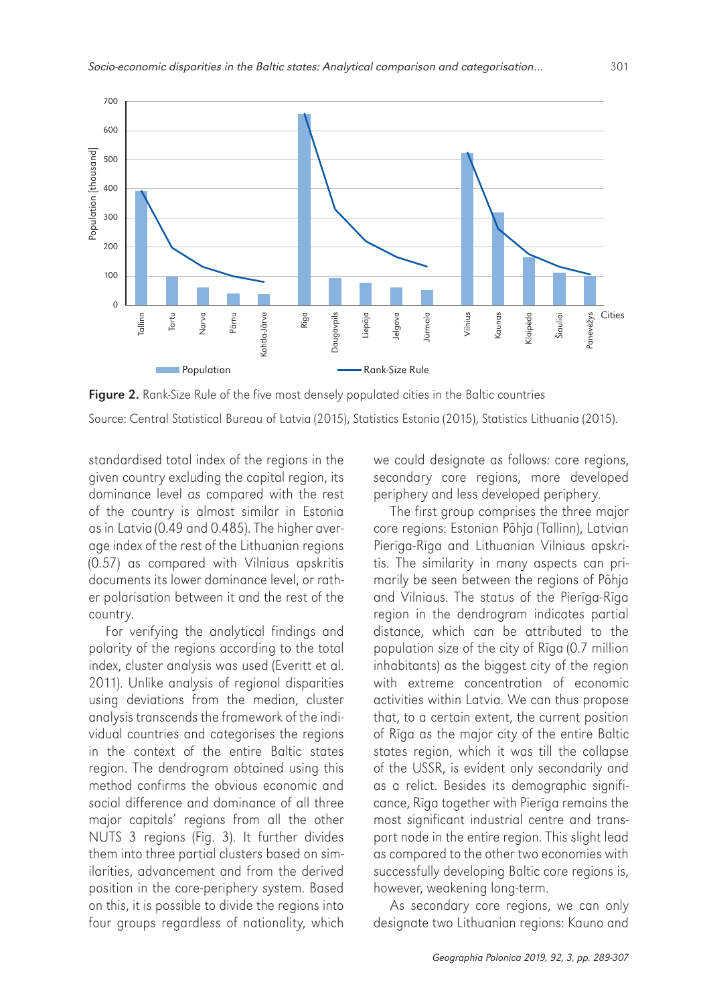

Figure 2. Rank-Size Rule of the five most densely populated cities in the Baltic countries Source: Central Statistical Bureau of Latvia (2015), Statistics Estonia (2015), Statistics Lithuania (2015).

standardised total index of the regions in the given country excluding the capital region, its dominance level as compared with the rest of the country is almost similar in Estonia as in Latvia (0.49 and 0.485). The higher average index of the rest of the Lithuanian regions (0.57) as compared with Vilniaus apskritis documents its lower dominance level, or rather polarisation between it and the rest of the country.

For verifying the analytical findings and polarity of the regions according to the total index, cluster analysis was used (Everitt et al. 2011). Unlike analysis of regional disparities using deviations from the median, cluster analysis transcends the framework of the individual countries and categorises the regions in the context of the entire Baltic states region. The dendrogram obtained using this method confirms the obvious economic and social difference and dominance of all three major capitals' regions from all the other NUTS 3 regions (Fig. 3). It further divides them into three partial clusters based on similarities, advancement and from the derived position in the core-periphery system. Based on this, it is possible to divide the regions into four groups regardless of nationality, which we could designate as follows: core regions, secondary core regions, more developed periphery and less developed periphery.

The first group comprises the three major core regions: Estonian Põhja (Tallinn), Latvian Pierīga-Rīga and Lithuanian Vilniaus apskritis. The similarity in many aspects can primarily be seen between the regions of Põhja and Vilniaus. The status of the Pierīga-Rīga region in the dendrogram indicates partial distance, which can be attributed to the population size of the city of Rīga (0.7 million inhabitants) as the biggest city of the region with extreme concentration of economic activities within Latvia. We can thus propose that, to a certain extent, the current position of Rīga as the major city of the entire Baltic states region, which it was till the collapse of the USSR, is evident only secondarily and as a relict. Besides its demographic significance, Rīga together with Pierīga remains the most significant industrial centre and transport node in the entire region. This slight lead as compared to the other two economies with successfully developing Baltic core regions is, however, weakening long-term.

As secondary core regions, we can only designate two Lithuanian regions: Kauno and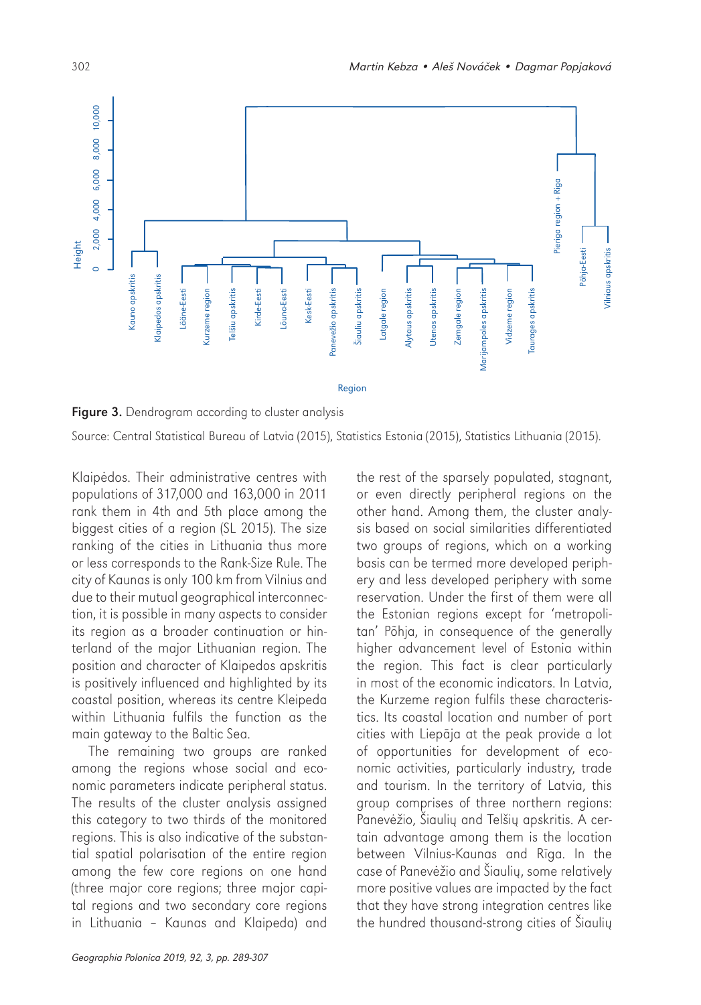

Figure 3. Dendrogram according to cluster analysis

Source: Central Statistical Bureau of Latvia (2015), Statistics Estonia (2015), Statistics Lithuania (2015).

Klaipėdos. Their administrative centres with populations of 317,000 and 163,000 in 2011 rank them in 4th and 5th place among the biggest cities of a region (SL 2015). The size ranking of the cities in Lithuania thus more or less corresponds to the Rank-Size Rule. The city of Kaunas is only 100 km from Vilnius and due to their mutual geographical interconnection, it is possible in many aspects to consider its region as a broader continuation or hinterland of the major Lithuanian region. The position and character of Klaipedos apskritis is positively influenced and highlighted by its coastal position, whereas its centre Kleipeda within Lithuania fulfils the function as the main gateway to the Baltic Sea.

The remaining two groups are ranked among the regions whose social and economic parameters indicate peripheral status. The results of the cluster analysis assigned this category to two thirds of the monitored regions. This is also indicative of the substantial spatial polarisation of the entire region among the few core regions on one hand (three major core regions; three major capital regions and two secondary core regions in Lithuania – Kaunas and Klaipeda) and

the rest of the sparsely populated, stagnant, or even directly peripheral regions on the other hand. Among them, the cluster analysis based on social similarities differentiated two groups of regions, which on a working basis can be termed more developed periphery and less developed periphery with some reservation. Under the first of them were all the Estonian regions except for 'metropolitan' Põhja, in consequence of the generally higher advancement level of Estonia within the region. This fact is clear particularly in most of the economic indicators. In Latvia, the Kurzeme region fulfils these characteristics. Its coastal location and number of port cities with Liepāja at the peak provide a lot of opportunities for development of economic activities, particularly industry, trade and tourism. In the territory of Latvia, this group comprises of three northern regions: Panevėžio, Šiaulių and Telšių apskritis. A certain advantage among them is the location between Vilnius-Kaunas and Rīga. In the case of Panevėžio and Šiaulių, some relatively more positive values are impacted by the fact that they have strong integration centres like the hundred thousand-strong cities of Šiaulių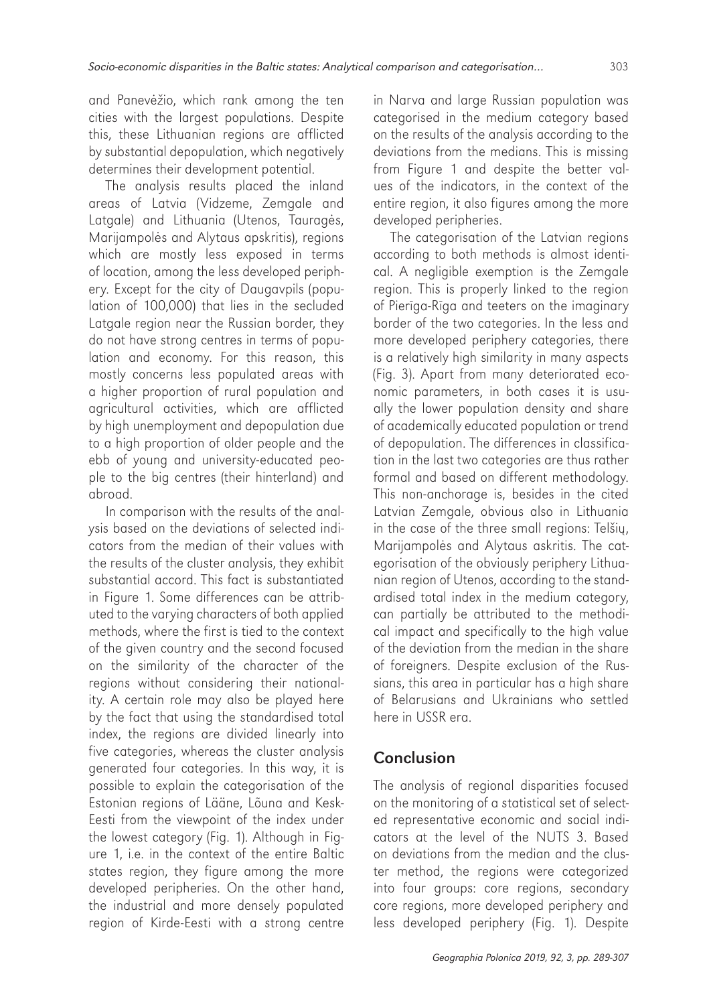and Panevėžio, which rank among the ten cities with the largest populations. Despite this, these Lithuanian regions are afflicted by substantial depopulation, which negatively determines their development potential.

The analysis results placed the inland areas of Latvia (Vidzeme, Zemgale and Latgale) and Lithuania (Utenos, Tauragės, Marijampolės and Alytaus apskritis), regions which are mostly less exposed in terms of location, among the less developed periphery. Except for the city of Daugavpils (population of 100,000) that lies in the secluded Latgale region near the Russian border, they do not have strong centres in terms of population and economy. For this reason, this mostly concerns less populated areas with a higher proportion of rural population and agricultural activities, which are afflicted by high unemployment and depopulation due to a high proportion of older people and the ebb of young and university-educated people to the big centres (their hinterland) and abroad.

In comparison with the results of the analysis based on the deviations of selected indicators from the median of their values with the results of the cluster analysis, they exhibit substantial accord. This fact is substantiated in Figure 1. Some differences can be attributed to the varying characters of both applied methods, where the first is tied to the context of the given country and the second focused on the similarity of the character of the regions without considering their nationality. A certain role may also be played here by the fact that using the standardised total index, the regions are divided linearly into five categories, whereas the cluster analysis generated four categories. In this way, it is possible to explain the categorisation of the Estonian regions of Lääne, Lõuna and Kesk-Eesti from the viewpoint of the index under the lowest category (Fig. 1). Although in Figure 1, i.e. in the context of the entire Baltic states region, they figure among the more developed peripheries. On the other hand, the industrial and more densely populated region of Kirde-Eesti with a strong centre in Narva and large Russian population was categorised in the medium category based on the results of the analysis according to the deviations from the medians. This is missing from Figure 1 and despite the better values of the indicators, in the context of the entire region, it also figures among the more developed peripheries.

The categorisation of the Latvian regions according to both methods is almost identical. A negligible exemption is the Zemgale region. This is properly linked to the region of Pierīga-Rīga and teeters on the imaginary border of the two categories. In the less and more developed periphery categories, there is a relatively high similarity in many aspects (Fig. 3). Apart from many deteriorated economic parameters, in both cases it is usually the lower population density and share of academically educated population or trend of depopulation. The differences in classification in the last two categories are thus rather formal and based on different methodology. This non-anchorage is, besides in the cited Latvian Zemgale, obvious also in Lithuania in the case of the three small regions: Telšių, Marijampolės and Alytaus askritis. The categorisation of the obviously periphery Lithuanian region of Utenos, according to the standardised total index in the medium category, can partially be attributed to the methodical impact and specifically to the high value of the deviation from the median in the share of foreigners. Despite exclusion of the Russians, this area in particular has a high share of Belarusians and Ukrainians who settled here in USSR era.

## Conclusion

The analysis of regional disparities focused on the monitoring of a statistical set of selected representative economic and social indicators at the level of the NUTS 3. Based on deviations from the median and the cluster method, the regions were categorized into four groups: core regions, secondary core regions, more developed periphery and less developed periphery (Fig. 1). Despite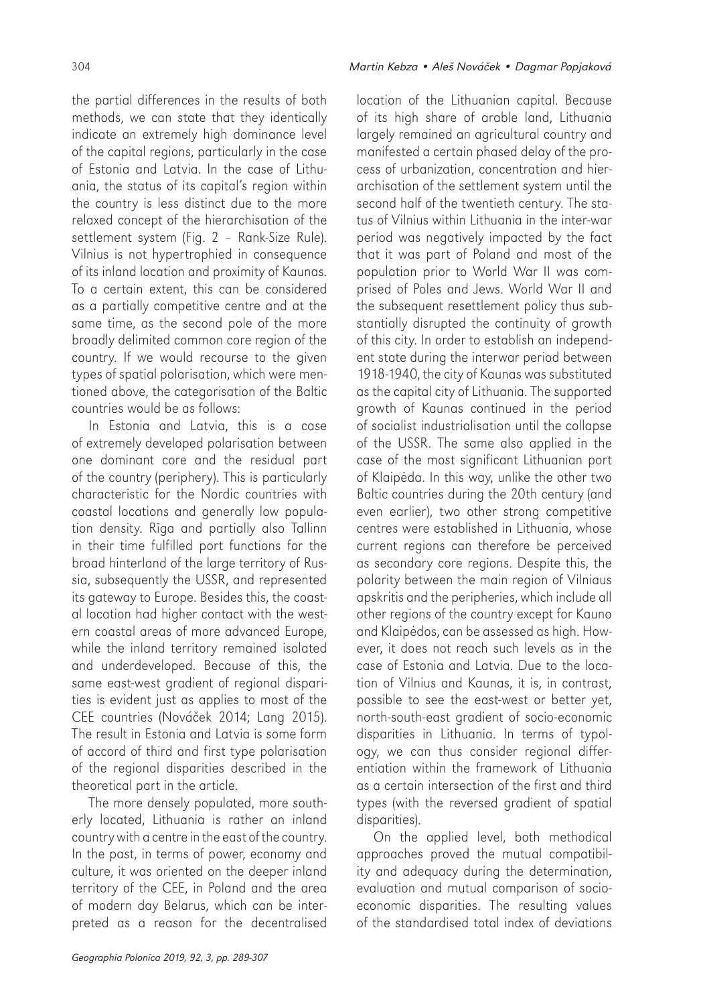the partial differences in the results of both methods, we can state that they identically indicate an extremely high dominance level of the capital regions, particularly in the case of Estonia and Latvia. In the case of Lithuania, the status of its capital's region within the country is less distinct due to the more relaxed concept of the hierarchisation of the settlement system (Fig. 2 – Rank-Size Rule). Vilnius is not hypertrophied in consequence of its inland location and proximity of Kaunas. To a certain extent, this can be considered as a partially competitive centre and at the same time, as the second pole of the more broadly delimited common core region of the country. If we would recourse to the given types of spatial polarisation, which were mentioned above, the categorisation of the Baltic countries would be as follows:

In Estonia and Latvia, this is a case of extremely developed polarisation between one dominant core and the residual part of the country (periphery). This is particularly characteristic for the Nordic countries with coastal locations and generally low population density. Rīga and partially also Tallinn in their time fulfilled port functions for the broad hinterland of the large territory of Russia, subsequently the USSR, and represented its gateway to Europe. Besides this, the coastal location had higher contact with the western coastal areas of more advanced Europe, while the inland territory remained isolated and underdeveloped. Because of this, the same east-west gradient of regional disparities is evident just as applies to most of the CEE countries (Nováček 2014; Lang 2015). The result in Estonia and Latvia is some form of accord of third and first type polarisation of the regional disparities described in the theoretical part in the article.

The more densely populated, more southerly located, Lithuania is rather an inland country with a centre in the east of the country. In the past, in terms of power, economy and culture, it was oriented on the deeper inland territory of the CEE, in Poland and the area of modern day Belarus, which can be interpreted as a reason for the decentralised

location of the Lithuanian capital. Because of its high share of arable land, Lithuania largely remained an agricultural country and manifested a certain phased delay of the process of urbanization, concentration and hierarchisation of the settlement system until the second half of the twentieth century. The status of Vilnius within Lithuania in the inter-war period was negatively impacted by the fact that it was part of Poland and most of the population prior to World War II was comprised of Poles and Jews. World War II and the subsequent resettlement policy thus substantially disrupted the continuity of growth of this city. In order to establish an independent state during the interwar period between 1918-1940, the city of Kaunas was substituted as the capital city of Lithuania. The supported growth of Kaunas continued in the period of socialist industrialisation until the collapse of the USSR. The same also applied in the case of the most significant Lithuanian port of Klaipėda. In this way, unlike the other two Baltic countries during the 20th century (and even earlier), two other strong competitive centres were established in Lithuania, whose current regions can therefore be perceived as secondary core regions. Despite this, the polarity between the main region of Vilniaus apskritis and the peripheries, which include all other regions of the country except for Kauno and Klaipėdos, can be assessed as high. However, it does not reach such levels as in the case of Estonia and Latvia. Due to the location of Vilnius and Kaunas, it is, in contrast, possible to see the east-west or better yet, north-south-east gradient of socio-economic disparities in Lithuania. In terms of typology, we can thus consider regional differentiation within the framework of Lithuania as a certain intersection of the first and third types (with the reversed gradient of spatial disparities).

On the applied level, both methodical approaches proved the mutual compatibility and adequacy during the determination, evaluation and mutual comparison of socioeconomic disparities. The resulting values of the standardised total index of deviations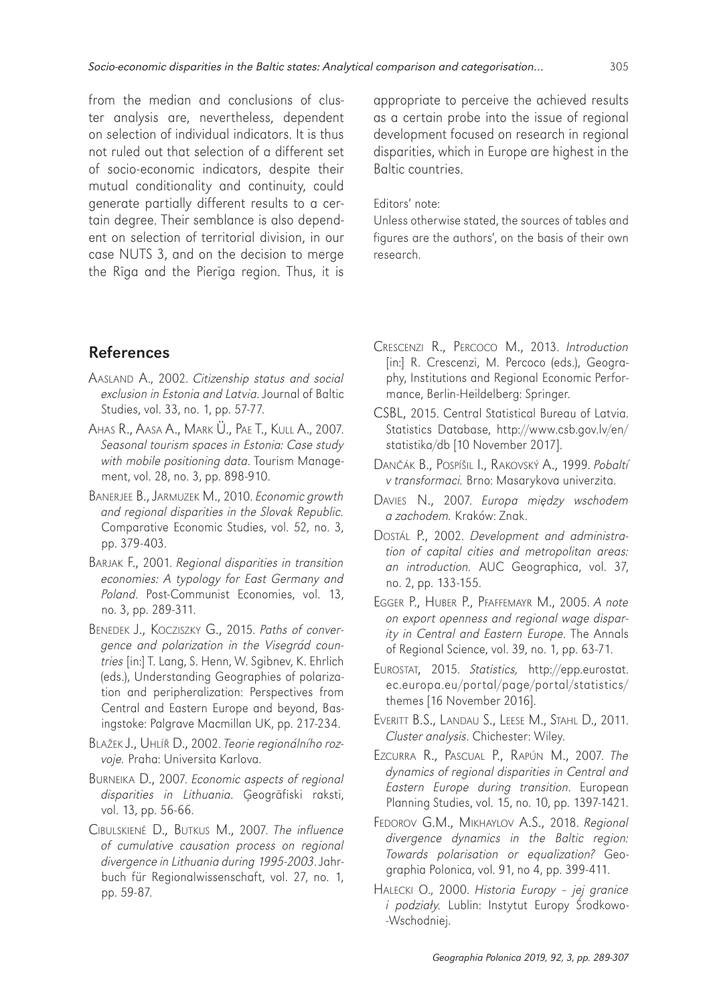from the median and conclusions of cluster analysis are, nevertheless, dependent on selection of individual indicators. It is thus not ruled out that selection of a different set of socio-economic indicators, despite their mutual conditionality and continuity, could generate partially different results to a certain degree. Their semblance is also dependent on selection of territorial division, in our case NUTS 3, and on the decision to merge the Rīga and the Pierīga region. Thus, it is

appropriate to perceive the achieved results as a certain probe into the issue of regional development focused on research in regional disparities, which in Europe are highest in the Baltic countries.

#### Editors' note:

Unless otherwise stated, the sources of tables and figures are the authors', on the basis of their own research.

### References

- AASLAND A., 2002. *Citizenship status and social exclusion in Estonia and Latvia*. Journal of Baltic Studies, vol. 33, no. 1, pp. 57-77.
- AHAS R., AASA A., MARK Ü., PAE T., KULL A., 2007. *Seasonal tourism spaces in Estonia: Case study with mobile positioning data*. Tourism Management, vol. 28, no. 3, pp. 898-910.
- BANERJEE B., JARMUZEK M., 2010. *Economic growth and regional disparities in the Slovak Republic.* Comparative Economic Studies, vol. 52, no. 3, pp. 379-403.
- BARJAK F., 2001. *Regional disparities in transition economies: A typology for East Germany and Poland*. Post-Communist Economies, vol. 13, no. 3, pp. 289-311.
- BENEDEK J., KOCZISZKY G., 2015. *Paths of convergence and polarization in the Visegrád countries* [in:] T. Lang, S. Henn, W. Sgibnev, K. Ehrlich (eds.), Understanding Geographies of polarization and peripheralization: Perspectives from Central and Eastern Europe and beyond, Basingstoke: Palgrave Macmillan UK, pp. 217-234.
- BLAŽEK J., UHLÍŘ D., 2002. *Teorie regionálního rozvoje.* Praha: Universita Karlova.
- BURNEIKA D., 2007. *Economic aspects of regional disparities in Lithuania*. Ģeogrāfiski raksti, vol. 13, pp. 56-66.
- CIBULSKIENĖ D., BUTKUS M., 2007. *The influence of cumulative causation process on regional divergence in Lithuania during 1995-2003*. Jahrbuch für Regionalwissenschaft, vol. 27, no. 1, pp. 59-87.
- CRESCENZI R., PERCOCO M., 2013. *Introduction* [in:] R. Crescenzi, M. Percoco (eds.), Geography, Institutions and Regional Economic Performance, Berlin-Heildelberg: Springer.
- CSBL, 2015. Central Statistical Bureau of Latvia. Statistics Database, http://www.csb.gov.lv/en/ statistika/db [10 November 2017].
- DANČÁK B., POSPÍŠIL I., RAKOVSKÝ A., 1999. *Pobaltí v transformaci.* Brno: Masarykova univerzita.
- DAVIES N., 2007. *Europa mi*ę*dzy wschodem a zachodem.* Kraków: Znak.
- DOSTÁL P., 2002. *Development and administration of capital cities and metropolitan areas: an introduction.* AUC Geographica, vol. 37, no. 2, pp. 133-155.
- EGGER P., HUBER P., PFAFFEMAYR M., 2005. *A note on export openness and regional wage disparity in Central and Eastern Europe*. The Annals of Regional Science, vol. 39, no. 1, pp. 63-71.
- EUROSTAT, 2015. *Statistics,* http://epp.eurostat. ec.europa.eu/portal/page/portal/statistics/ themes [16 November 2016].
- EVERITT B.S., LANDAU S., LEESE M., STAHL D., 2011. *Cluster analysis*. Chichester: Wiley.
- EZCURRA R., PASCUAL P., RAPÚN M., 2007. *The dynamics of regional disparities in Central and Eastern Europe during transition*. European Planning Studies, vol. 15, no. 10, pp. 1397-1421.
- FEDOROV G.M., MIKHAYLOV A.S., 2018. *Regional divergence dynamics in the Baltic region: Towards polarisation or equalization?* Geographia Polonica, vol. 91, no 4, pp. 399-411.
- HALECKI O., 2000. *Historia Europy jej granice i podzia*ł*y.* Lublin: Instytut Europy Środkowo- -Wschodniej.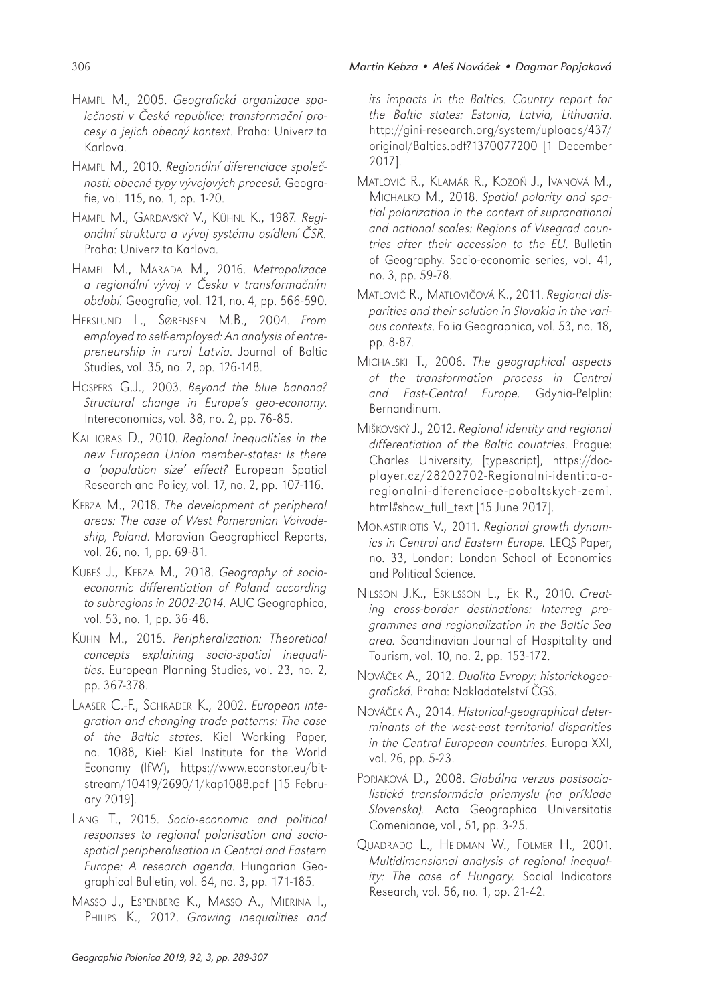- HAMPL M., 2010. *Regionální diferenciace spole*č*nosti: obecné typy vývojových proces*ů*.* Geografie, vol. 115, no. 1, pp. 1-20.
- HAMPL M., GARDAVSKÝ V., KÜHNL K., 1987*. Regionální struktura a vývoj systému osídlení* Č*SR.* Praha: Univerzita Karlova.
- HAMPL M., MARADA M., 2016. *Metropolizace a regionální vývoj v* Č*esku v transforma*č*ním období.* Geografie, vol. 121, no. 4, pp. 566-590.
- HERSLUND L., SØRENSEN M.B., 2004. *From employed to self-employed: An analysis of entrepreneurship in rural Latvia*. Journal of Baltic Studies, vol. 35, no. 2, pp. 126-148.
- HOSPERS G.J., 2003. *Beyond the blue banana? Structural change in Europe's geo-economy*. Intereconomics, vol. 38, no. 2, pp. 76-85.
- KALLIORAS D., 2010. *Regional inequalities in the new European Union member-states: Is there a 'population size' effect?* European Spatial Research and Policy, vol. 17, no. 2, pp. 107-116.
- KEBZA M., 2018. *The development of peripheral areas: The case of West Pomeranian Voivodeship, Poland*. Moravian Geographical Reports, vol. 26, no. 1, pp. 69-81.
- KUBEŠ J., KEBZA M., 2018. *Geography of socioeconomic differentiation of Poland according to subregions in 2002-2014.* AUC Geographica, vol. 53, no. 1, pp. 36-48.
- KÜHN M., 2015. *Peripheralization: Theoretical concepts explaining socio-spatial inequalities*. European Planning Studies, vol. 23, no. 2, pp. 367-378.
- LAASER C.-F., SCHRADER K., 2002. *European integration and changing trade patterns: The case of the Baltic states*. Kiel Working Paper, no. 1088, Kiel: Kiel Institute for the World Economy (IfW), https://www.econstor.eu/bitstream/10419/2690/1/kap1088.pdf [15 February 2019].
- LANG T., 2015. *Socio-economic and political responses to regional polarisation and sociospatial peripheralisation in Central and Eastern Europe: A research agenda*. Hungarian Geographical Bulletin, vol. 64, no. 3, pp. 171-185.
- MASSO J., ESPENBERG K., MASSO A., MIERINA I., PHILIPS K., 2012. *Growing inequalities and*

*its impacts in the Baltics. Country report for the Baltic states: Estonia, Latvia, Lithuania*. http://gini-research.org/system/uploads/437/ original/Baltics.pdf?1370077200 [1 December 2017].

- MATLOVIČ R., KLAMÁR R., KOZOŇ J., IVANOVÁ M., MICHALKO M., 2018. *Spatial polarity and spatial polarization in the context of supranational and national scales: Regions of Visegrad countries after their accession to the EU*. Bulletin of Geography. Socio-economic series, vol. 41, no. 3, pp. 59-78.
- MATLOVIČ R., MATLOVIČOVÁ K., 2011. *Regional disparities and their solution in Slovakia in the various contexts*. Folia Geographica, vol. 53, no. 18, pp. 8-87.
- MICHALSKI T., 2006. *The geographical aspects of the transformation process in Central and East-Central Europe.* Gdynia-Pelplin: Bernandinum.
- MIŠKOVSKÝ J., 2012. *Regional identity and regional differentiation of the Baltic countries*. Prague: Charles University, [typescript], https://docplayer.cz/28202702-Regionalni-identita-aregionalni-diferenciace-pobaltskych-zemi. html#show\_full\_text [15 June 2017].
- MONASTIRIOTIS V., 2011. *Regional growth dynamics in Central and Eastern Europe.* LEQS Paper, no. 33, London: London School of Economics and Political Science.
- NILSSON J.K., ESKILSSON L., EK R., 2010. *Creating cross-border destinations: Interreg programmes and regionalization in the Baltic Sea area.* Scandinavian Journal of Hospitality and Tourism, vol. 10, no. 2, pp. 153-172.
- NOVÁČEK A., 2012. *Dualita Evropy: historickogeografická.* Praha: Nakladatelství ČGS.
- NOVÁČEK A., 2014. *Historical-geographical determinants of the west-east territorial disparities in the Central European countries*. Europa XXI, vol. 26, pp. 5-23.
- POPJAKOVÁ D., 2008. *Globálna verzus postsocialistická transformácia priemyslu (na príklade Slovenska).* Acta Geographica Universitatis Comenianae, vol., 51, pp. 3-25.
- QUADRADO L., HEIDMAN W., FOLMER H., 2001. *Multidimensional analysis of regional inequality: The case of Hungary.* Social Indicators Research, vol. 56, no. 1, pp. 21-42.